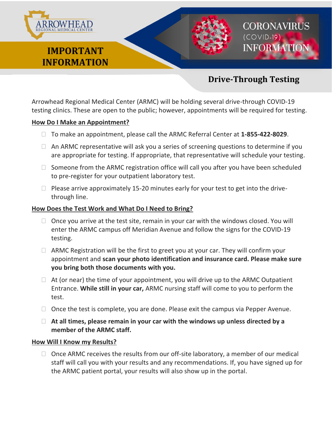

# **Drive-Through Testing**

Arrowhead Regional Medical Center (ARMC) will be holding several drive-through COVID-19 testing clinics. These are open to the public; however, appointments will be required for testing.

#### **How Do I Make an Appointment?**

- To make an appointment, please call the ARMC Referral Center at **1-855-422-8029**.
- $\Box$  An ARMC representative will ask you a series of screening questions to determine if you are appropriate for testing. If appropriate, that representative will schedule your testing.
- $\Box$  Someone from the ARMC registration office will call you after you have been scheduled to pre-register for your outpatient laboratory test.
- $\Box$  Please arrive approximately 15-20 minutes early for your test to get into the drivethrough line.

#### **How Does the Test Work and What Do I Need to Bring?**

- $\Box$  Once you arrive at the test site, remain in your car with the windows closed. You will enter the ARMC campus off Meridian Avenue and follow the signs for the COVID-19 testing.
- $\Box$  ARMC Registration will be the first to greet you at your car. They will confirm your appointment and **scan your photo identification and insurance card. Please make sure you bring both those documents with you.**
- $\Box$  At (or near) the time of your appointment, you will drive up to the ARMC Outpatient Entrance. **While still in your car,** ARMC nursing staff will come to you to perform the test.
- $\Box$  Once the test is complete, you are done. Please exit the campus via Pepper Avenue.
- **At all times, please remain in your car with the windows up unless directed by a member of the ARMC staff.**

#### **How Will I Know my Results?**

 $\Box$  Once ARMC receives the results from our off-site laboratory, a member of our medical staff will call you with your results and any recommendations. If, you have signed up for the ARMC patient portal, your results will also show up in the portal.